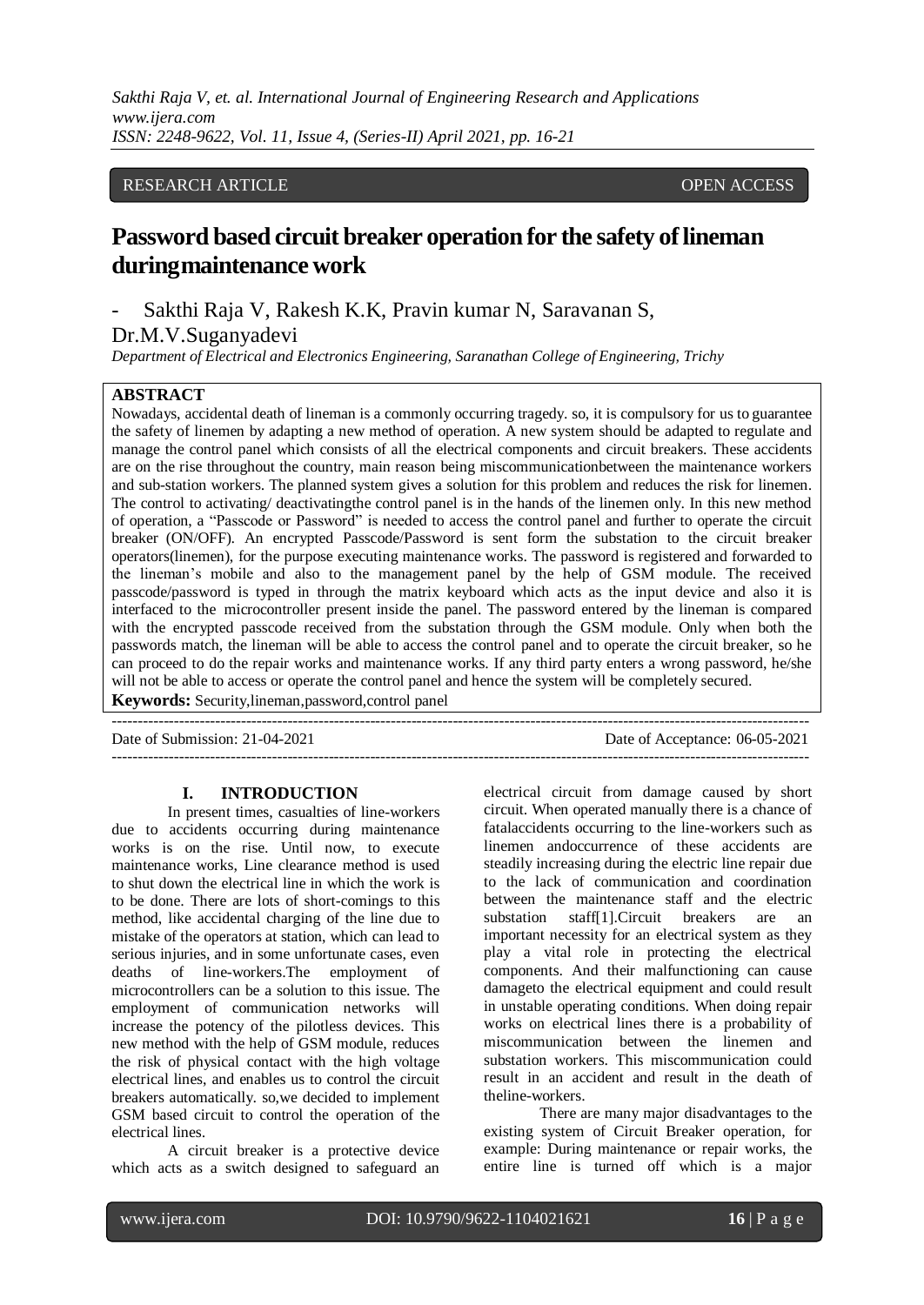# RESEARCH ARTICLE **CONSERVERS** OPEN ACCESS

# **Password based circuit breaker operation for the safety oflineman duringmaintenance work**

- Sakthi Raja V, Rakesh K.K, Pravin kumar N, Saravanan S, Dr.M.V.Suganyadevi

*Department of Electrical and Electronics Engineering, Saranathan College of Engineering, Trichy*

### **ABSTRACT**

Nowadays, accidental death of lineman is a commonly occurring tragedy. so, it is compulsory for us to guarantee the safety of linemen by adapting a new method of operation. A new system should be adapted to regulate and manage the control panel which consists of all the electrical components and circuit breakers. These accidents are on the rise throughout the country, main reason being miscommunicationbetween the maintenance workers and sub-station workers. The planned system gives a solution for this problem and reduces the risk for linemen. The control to activating/ deactivatingthe control panel is in the hands of the linemen only. In this new method of operation, a "Passcode or Password" is needed to access the control panel and further to operate the circuit breaker (ON/OFF). An encrypted Passcode/Password is sent form the substation to the circuit breaker operators(linemen), for the purpose executing maintenance works. The password is registered and forwarded to the lineman's mobile and also to the management panel by the help of GSM module. The received passcode/password is typed in through the matrix keyboard which acts as the input device and also it is interfaced to the microcontroller present inside the panel. The password entered by the lineman is compared with the encrypted passcode received from the substation through the GSM module. Only when both the passwords match, the lineman will be able to access the control panel and to operate the circuit breaker, so he can proceed to do the repair works and maintenance works. If any third party enters a wrong password, he/she will not be able to access or operate the control panel and hence the system will be completely secured.

---------------------------------------------------------------------------------------------------------------------------------------

**Keywords:** Security,lineman,password,control panel

Date of Submission: 21-04-2021 Date of Acceptance: 06-05-2021 ---------------------------------------------------------------------------------------------------------------------------------------

### **I. INTRODUCTION**

In present times, casualties of line-workers due to accidents occurring during maintenance works is on the rise. Until now, to execute maintenance works, Line clearance method is used to shut down the electrical line in which the work is to be done. There are lots of short-comings to this method, like accidental charging of the line due to mistake of the operators at station, which can lead to serious injuries, and in some unfortunate cases, even deaths of line-workers.The employment of microcontrollers can be a solution to this issue. The employment of communication networks will increase the potency of the pilotless devices. This new method with the help of GSM module, reduces the risk of physical contact with the high voltage electrical lines, and enables us to control the circuit breakers automatically. so,we decided to implement GSM based circuit to control the operation of the electrical lines.

A circuit breaker is a protective device which acts as a switch designed to safeguard an electrical circuit from damage caused by short circuit. When operated manually there is a chance of fatalaccidents occurring to the line-workers such as linemen andoccurrence of these accidents are steadily increasing during the electric line repair due to the lack of communication and coordination between the maintenance staff and the electric substation staff[1].Circuit breakers are an important necessity for an electrical system as they play a vital role in protecting the electrical components. And their malfunctioning can cause damageto the electrical equipment and could result in unstable operating conditions. When doing repair works on electrical lines there is a probability of miscommunication between the linemen and substation workers. This miscommunication could result in an accident and result in the death of theline-workers.

There are many major disadvantages to the existing system of Circuit Breaker operation, for example: During maintenance or repair works, the entire line is turned off which is a major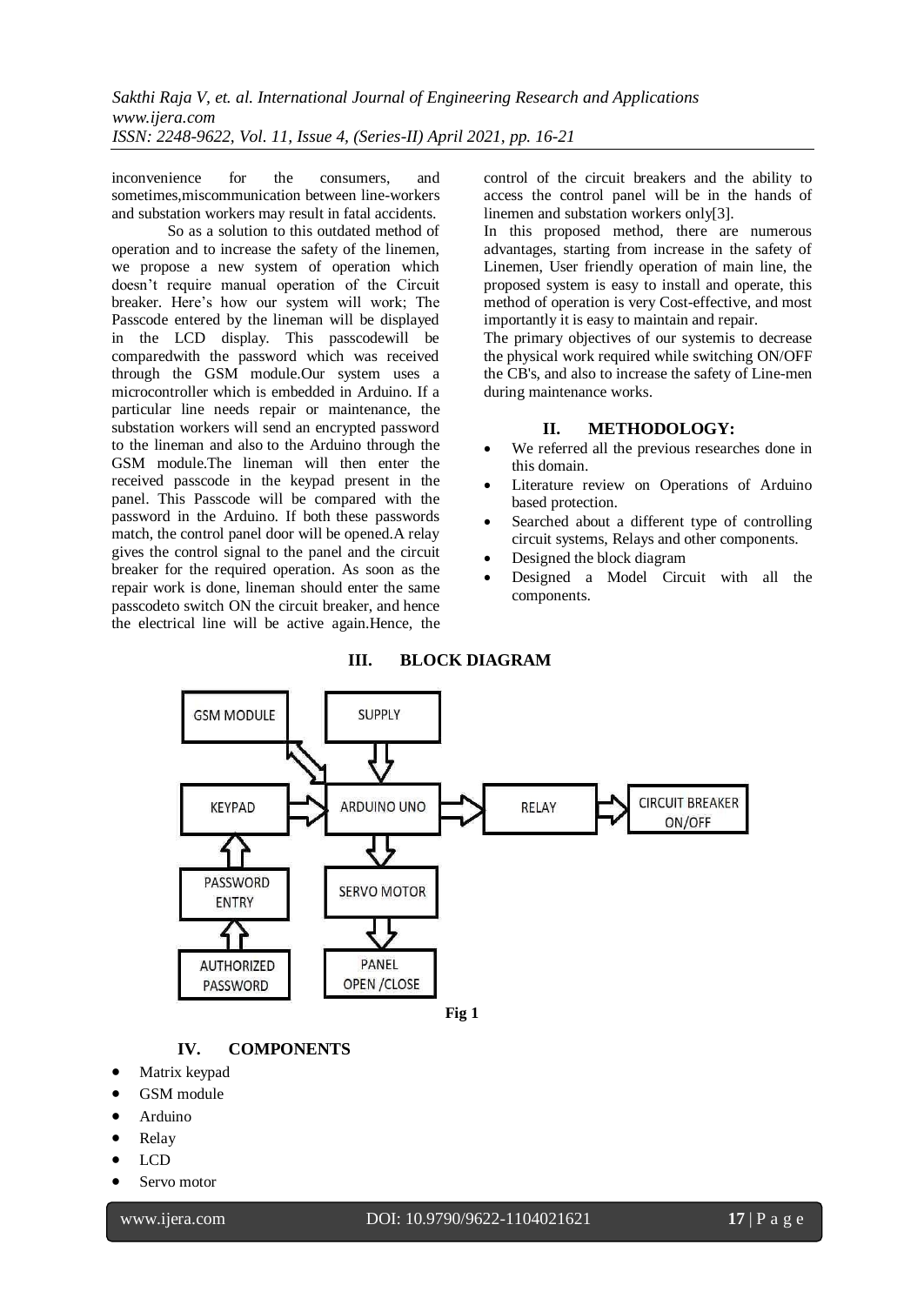inconvenience for the consumers, and sometimes,miscommunication between line-workers and substation workers may result in fatal accidents.

So as a solution to this outdated method of operation and to increase the safety of the linemen, we propose a new system of operation which doesn't require manual operation of the Circuit breaker. Here's how our system will work; The Passcode entered by the lineman will be displayed in the LCD display. This passcodewill be comparedwith the password which was received through the GSM module.Our system uses a microcontroller which is embedded in Arduino. If a particular line needs repair or maintenance, the substation workers will send an encrypted password to the lineman and also to the Arduino through the GSM module.The lineman will then enter the received passcode in the keypad present in the panel. This Passcode will be compared with the password in the Arduino. If both these passwords match, the control panel door will be opened.A relay gives the control signal to the panel and the circuit breaker for the required operation. As soon as the repair work is done, lineman should enter the same passcodeto switch ON the circuit breaker, and hence the electrical line will be active again.Hence, the control of the circuit breakers and the ability to access the control panel will be in the hands of linemen and substation workers only[3].

In this proposed method, there are numerous advantages, starting from increase in the safety of Linemen, User friendly operation of main line, the proposed system is easy to install and operate, this method of operation is very Cost-effective, and most importantly it is easy to maintain and repair.

The primary objectives of our systemis to decrease the physical work required while switching ON/OFF the CB's, and also to increase the safety of Line-men during maintenance works.

# **II. METHODOLOGY:**

- We referred all the previous researches done in this domain.
- Literature review on Operations of Arduino based protection.
- Searched about a different type of controlling circuit systems, Relays and other components.
- Designed the block diagram
- Designed a Model Circuit with all the components.





# **IV. COMPONENTS**

- Matrix keypad
- GSM module
- Arduino
- Relay
- LCD

l

Servo motor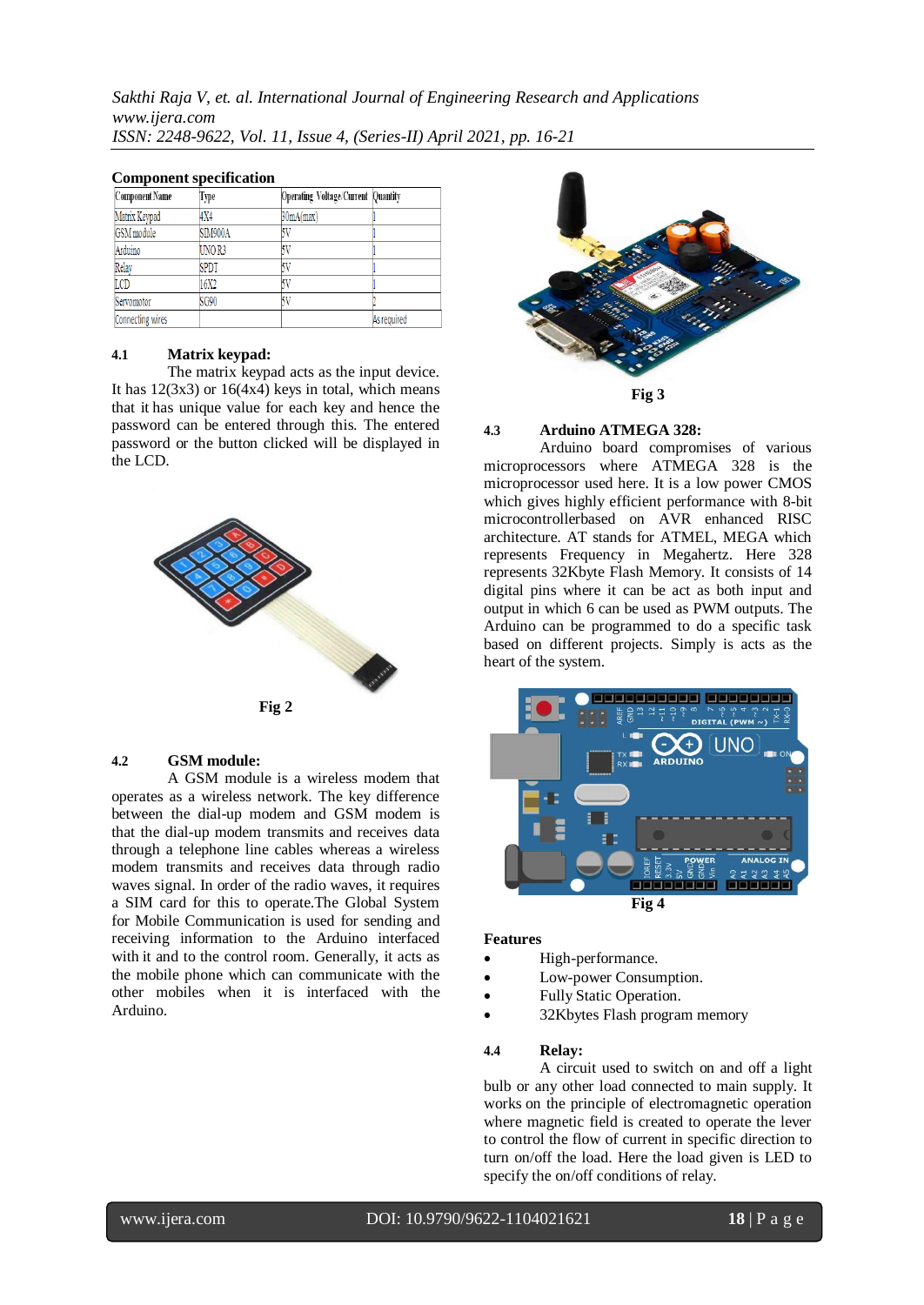| сопіропент вресиненной |             |                                     |             |
|------------------------|-------------|-------------------------------------|-------------|
| Component Name         | Type        | Operating Voltage/Current  Quantity |             |
| Matrix Keypad          | 4X4         | 30mA(max)                           |             |
| GSM module             | SIM900A     |                                     |             |
| Arduino                | UNO R3      |                                     |             |
| Relay                  | <b>SPDT</b> |                                     |             |
| LCD                    | 16X2        |                                     |             |
| Servomotor             | SG90        |                                     |             |
| Connecting wires       |             |                                     | As required |

### **Component specification**

# **4.1 Matrix keypad:**

The matrix keypad acts as the input device. It has  $12(3x3)$  or  $16(4x4)$  keys in total, which means that it has unique value for each key and hence the password can be entered through this. The entered password or the button clicked will be displayed in the LCD.



#### **4.2 GSM module:**

A GSM module is a wireless modem that operates as a wireless network. The key difference between the dial-up modem and GSM modem is that the dial-up modem transmits and receives data through a telephone line cables whereas a wireless modem transmits and receives data through radio waves signal. In order of the radio waves, it requires a SIM card for this to operate.The Global System for Mobile Communication is used for sending and receiving information to the Arduino interfaced with it and to the control room. Generally, it acts as the mobile phone which can communicate with the other mobiles when it is interfaced with the Arduino.



#### **4.3 Arduino ATMEGA 328:**

Arduino board compromises of various microprocessors where ATMEGA 328 is the microprocessor used here. It is a low power CMOS which gives highly efficient performance with 8-bit microcontrollerbased on AVR enhanced RISC architecture. AT stands for ATMEL, MEGA which represents Frequency in Megahertz. Here 328 represents 32Kbyte Flash Memory. It consists of 14 digital pins where it can be act as both input and output in which 6 can be used as PWM outputs. The Arduino can be programmed to do a specific task based on different projects. Simply is acts as the heart of the system.



#### **Features**

- High-performance.
- Low-power Consumption.
- Fully Static Operation.
- 32Kbytes Flash program memory

#### **4.4 Relay:**

A circuit used to switch on and off a light bulb or any other load connected to main supply. It works on the principle of electromagnetic operation where magnetic field is created to operate the lever to control the flow of current in specific direction to turn on/off the load. Here the load given is LED to specify the on/off conditions of relay.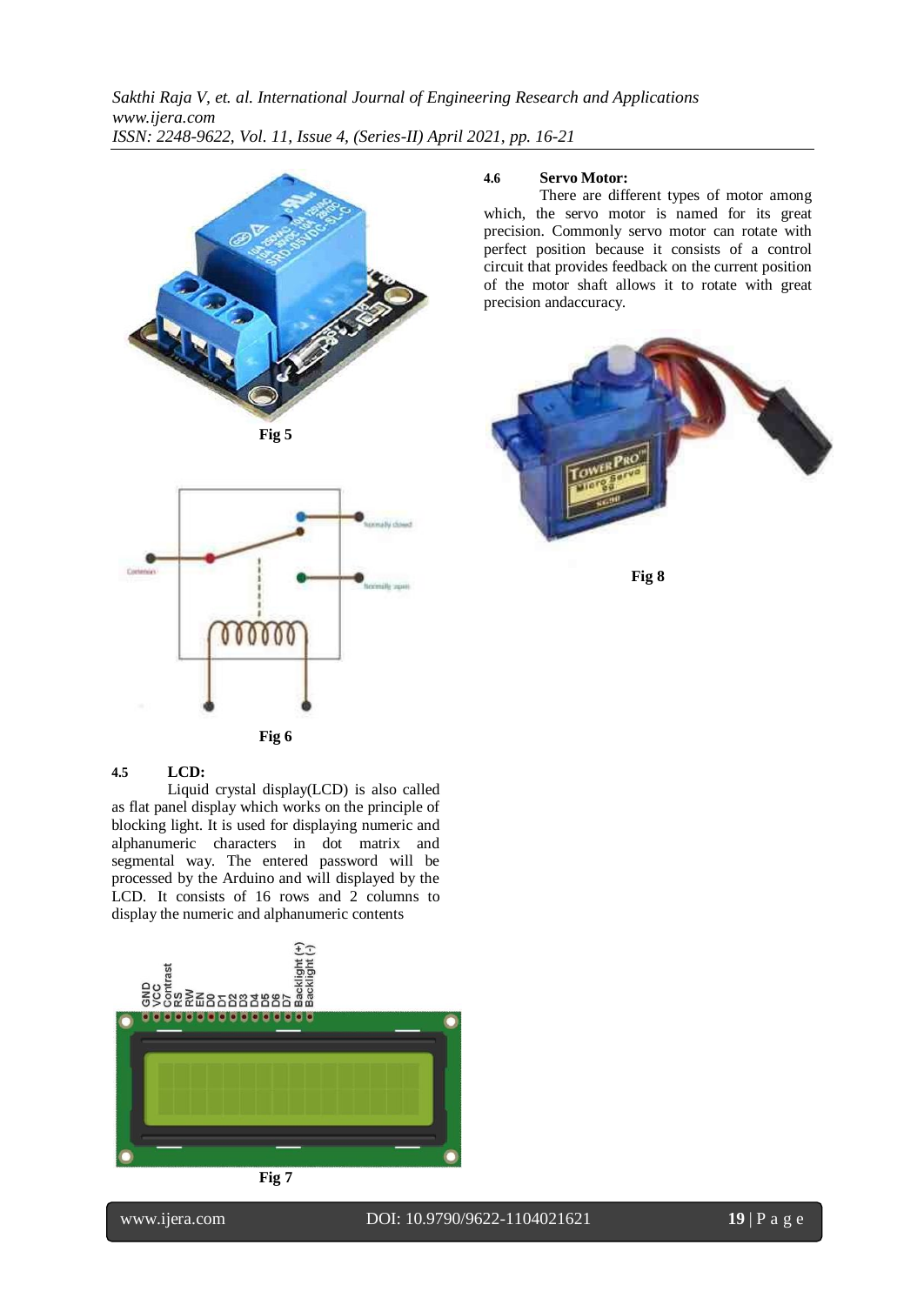





# **4.6 Servo Motor:**

There are different types of motor among which, the servo motor is named for its great precision. Commonly servo motor can rotate with perfect position because it consists of a control circuit that provides feedback on the current position of the motor shaft allows it to rotate with great precision andaccuracy.



**Fig 8**

# **4.5 LCD:**

Liquid crystal display(LCD) is also called as flat panel display which works on the principle of blocking light. It is used for displaying numeric and alphanumeric characters in dot matrix and segmental way. The entered password will be processed by the Arduino and will displayed by the LCD. It consists of 16 rows and 2 columns to display the numeric and alphanumeric contents





l

# www.ijera.com DOI: 10.9790/9622-1104021621 **19** | P a g e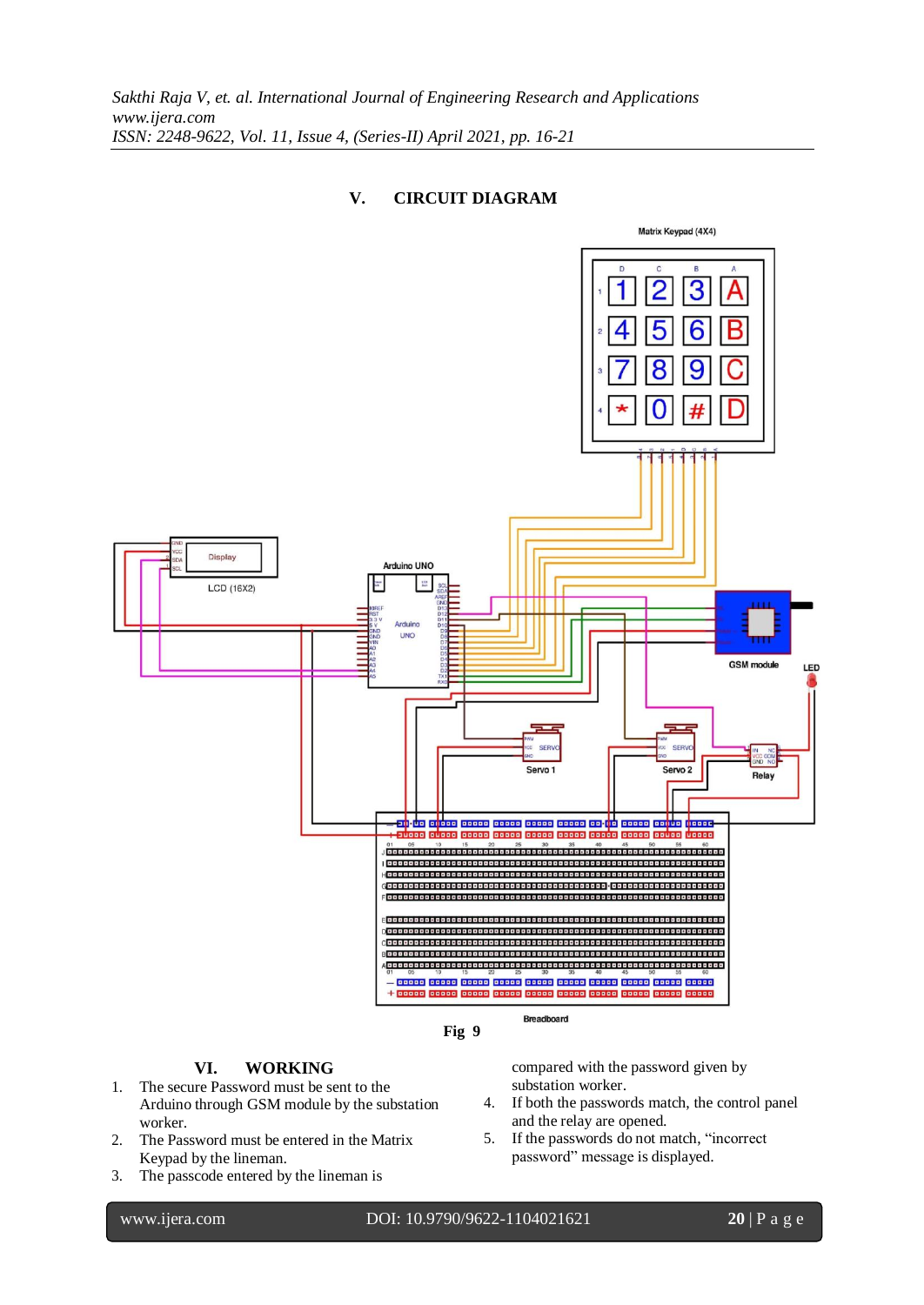# **V. CIRCUIT DIAGRAM**





# **VI. WORKING**

- 1. The secure Password must be sent to the Arduino through GSM module by the substation worker.
- 2. The Password must be entered in the Matrix Keypad by the lineman.
- 3. The passcode entered by the lineman is

compared with the password given by substation worker.

- 4. If both the passwords match, the control panel and the relay are opened.
- 5. If the passwords do not match, "incorrect password" message is displayed.